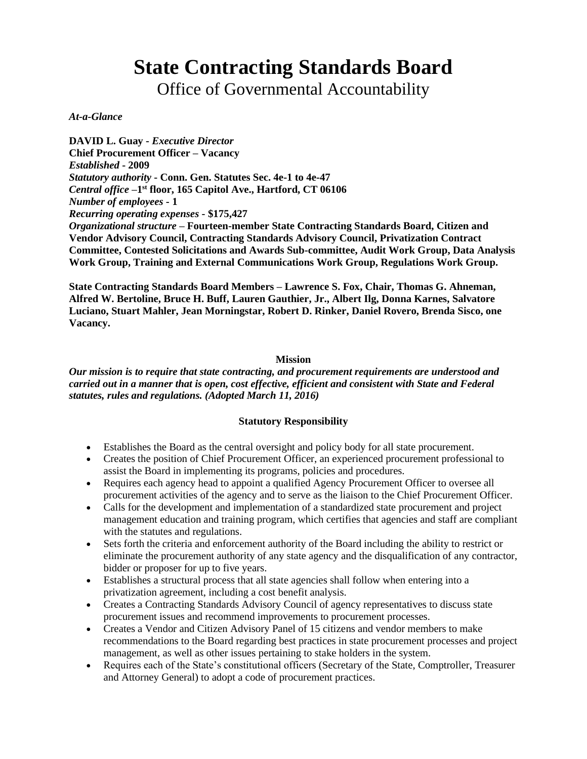# **State Contracting Standards Board**

Office of Governmental Accountability

## *At-a-Glance*

**DAVID L. Guay -** *Executive Director* **Chief Procurement Officer – Vacancy**  *Established* **- 2009**  *Statutory authority* **- [Conn. Gen. Statutes Sec. 4e-1 to 4e-47](http://www.cga.ct.gov/current/pub/chap_062.htm)** *Central office* **–1 st floor, 165 Capitol Ave., Hartford, CT 06106** *Number of employees* **- 1** *Recurring operating expenses* **- \$175,427** *Organizational structure* **– Fourteen-member State Contracting Standards Board, Citizen and Vendor Advisory Council, Contracting Standards Advisory Council, Privatization Contract Committee, Contested Solicitations and Awards Sub-committee, Audit Work Group, Data Analysis Work Group, Training and External Communications Work Group, Regulations Work Group.**

**State Contracting Standards Board Members – Lawrence S. Fox, Chair, Thomas G. Ahneman, Alfred W. Bertoline, Bruce H. Buff, Lauren Gauthier, Jr., Albert Ilg, Donna Karnes, Salvatore Luciano, Stuart Mahler, Jean Morningstar, Robert D. Rinker, Daniel Rovero, Brenda Sisco, one Vacancy.**

#### **Mission**

*Our mission is to require that state contracting, and procurement requirements are understood and carried out in a manner that is open, cost effective, efficient and consistent with State and Federal statutes, rules and regulations. (Adopted March 11, 2016)*

## **Statutory Responsibility**

- Establishes the Board as the central oversight and policy body for all state procurement.
- Creates the position of Chief Procurement Officer, an experienced procurement professional to assist the Board in implementing its programs, policies and procedures.
- Requires each agency head to appoint a qualified Agency Procurement Officer to oversee all procurement activities of the agency and to serve as the liaison to the Chief Procurement Officer.
- Calls for the development and implementation of a standardized state procurement and project management education and training program, which certifies that agencies and staff are compliant with the statutes and regulations.
- Sets forth the criteria and enforcement authority of the Board including the ability to restrict or eliminate the procurement authority of any state agency and the disqualification of any contractor, bidder or proposer for up to five years.
- Establishes a structural process that all state agencies shall follow when entering into a privatization agreement, including a cost benefit analysis.
- Creates a Contracting Standards Advisory Council of agency representatives to discuss state procurement issues and recommend improvements to procurement processes.
- Creates a Vendor and Citizen Advisory Panel of 15 citizens and vendor members to make recommendations to the Board regarding best practices in state procurement processes and project management, as well as other issues pertaining to stake holders in the system.
- Requires each of the State's constitutional officers (Secretary of the State, Comptroller, Treasurer and Attorney General) to adopt a code of procurement practices.